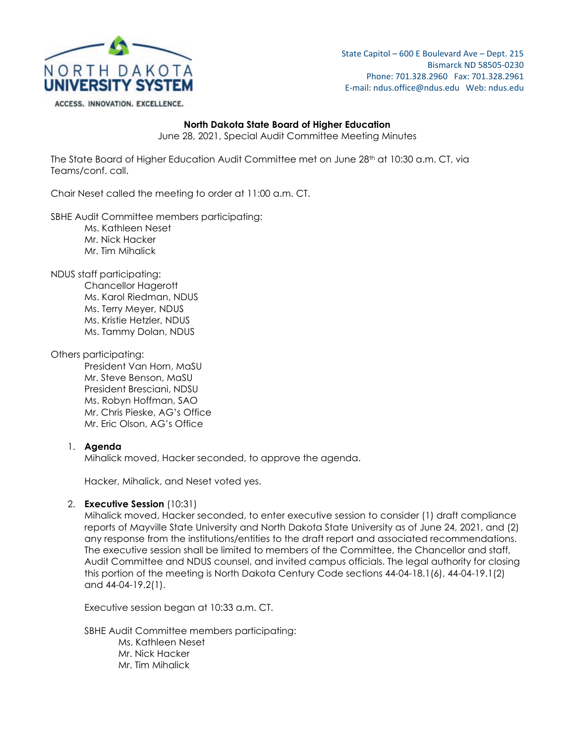

State Capitol – 600 E Boulevard Ave – Dept. 215 Bismarck ND 58505-0230 Phone: 701.328.2960 Fax: 701.328.2961 E-mail: ndus.office@ndus.edu Web: ndus.edu

ACCESS. INNOVATION. EXCELLENCE.

#### **North Dakota State Board of Higher Education**

June 28, 2021, Special Audit Committee Meeting Minutes

The State Board of Higher Education Audit Committee met on June 28<sup>th</sup> at 10:30 a.m. CT, via Teams/conf. call.

Chair Neset called the meeting to order at 11:00 a.m. CT.

SBHE Audit Committee members participating:

- Ms. Kathleen Neset Mr. Nick Hacker
- Mr. Tim Mihalick

NDUS staff participating:

Chancellor Hagerott Ms. Karol Riedman, NDUS Ms. Terry Meyer, NDUS Ms. Kristie Hetzler, NDUS Ms. Tammy Dolan, NDUS

#### Others participating:

President Van Horn, MaSU Mr. Steve Benson, MaSU President Bresciani, NDSU Ms. Robyn Hoffman, SAO Mr. Chris Pieske, AG's Office Mr. Eric Olson, AG's Office

# 1. **Agenda**

Mihalick moved, Hacker seconded, to approve the agenda.

Hacker, Mihalick, and Neset voted yes.

# 2. **Executive Session** (10:31)

Mihalick moved, Hacker seconded, to enter executive session to consider (1) draft compliance reports of Mayville State University and North Dakota State University as of June 24, 2021, and (2) any response from the institutions/entities to the draft report and associated recommendations. The executive session shall be limited to members of the Committee, the Chancellor and staff, Audit Committee and NDUS counsel, and invited campus officials. The legal authority for closing this portion of the meeting is North Dakota Century Code sections 44-04-18.1(6), 44-04-19.1(2) and 44-04-19.2(1).

Executive session began at 10:33 a.m. CT.

SBHE Audit Committee members participating:

Ms. Kathleen Neset Mr. Nick Hacker Mr. Tim Mihalick